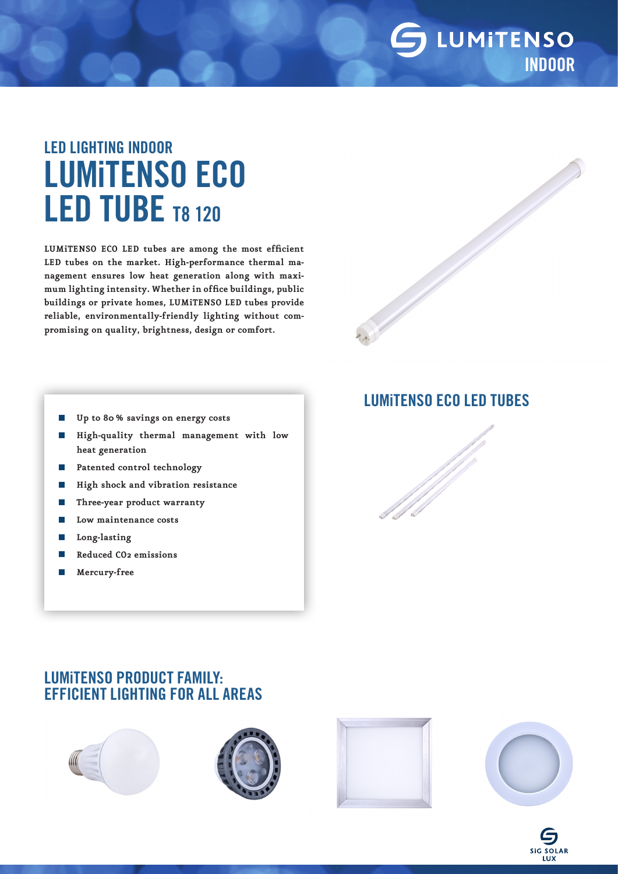### LUMITENSO INDOOR

# LED LIGHTING INDOOR LUMiTENSO ECO LED TUBE T8 120

**LUMiTENSO ECO LED tubes are among the most efficient LED tubes on the market. High-performance thermal management ensures low heat generation along with maximum lighting intensity. Whether in office buildings, public buildings or private homes, LUMiTENSO LED tubes provide reliable, environmentally-friendly lighting without compromising on quality, brightness, design or comfort.**

- **Up to 80% savings on energy costs**  $\mathcal{C}^{\mathcal{A}}$
- **High-quality thermal management with low**   $\overline{\phantom{a}}$ **heat generation**
- **Patented control technology** p.
- **High shock and vibration resistance** p.
- **Three-year product warranty** P.

LUMiTENSO PRODUCT FAMILY:

- **Low maintenance costs** Г.
- **Long-lasting** T.
- T. **Reduced CO2 emissions**
- **Mercury-free** П

#### LUMiTENSO ECO LED TUBES